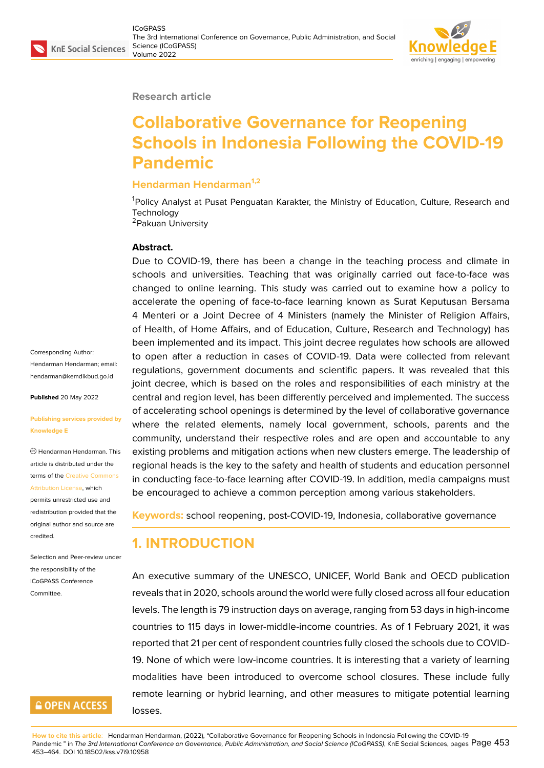#### **Research article**

# **Collaborative Governance for Reopening Schools in Indonesia Following the COVID-19 Pandemic**

### **Hendarman Hendarman1,2**

<sup>1</sup>Policy Analyst at Pusat Penguatan Karakter, the Ministry of Education, Culture, Research and **Technology** <sup>2</sup>Pakuan University

#### **Abstract.**

Due to COVID-19, there has been a change in the teaching process and climate in schools and universities. Teaching that was originally carried out face-to-face was changed to online learning. This study was carried out to examine how a policy to accelerate the opening of face-to-face learning known as Surat Keputusan Bersama 4 Menteri or a Joint Decree of 4 Ministers (namely the Minister of Religion Affairs, of Health, of Home Affairs, and of Education, Culture, Research and Technology) has been implemented and its impact. This joint decree regulates how schools are allowed to open after a reduction in cases of COVID-19. Data were collected from relevant regulations, government documents and scientific papers. It was revealed that this joint decree, which is based on the roles and responsibilities of each ministry at the central and region level, has been differently perceived and implemented. The success of accelerating school openings is determined by the level of collaborative governance where the related elements, namely local government, schools, parents and the community, understand their respective roles and are open and accountable to any existing problems and mitigation actions when new clusters emerge. The leadership of regional heads is the key to the safety and health of students and education personnel in conducting face-to-face learning after COVID-19. In addition, media campaigns must be encouraged to achieve a common perception among various stakeholders.

**Keywords:** school reopening, post-COVID-19, Indonesia, collaborative governance

# **1. INTRODUCTION**

An executive summary of the UNESCO, UNICEF, World Bank and OECD publication reveals that in 2020, schools around the world were fully closed across all four education levels. The length is 79 instruction days on average, ranging from 53 days in high-income countries to 115 days in lower-middle-income countries. As of 1 February 2021, it was reported that 21 per cent of respondent countries fully closed the schools due to COVID-19. None of which were low-income countries. It is interesting that a variety of learning modalities have been introduced to overcome school closures. These include fully remote learning or hybrid learning, and other measures to mitigate potential learning losses.

Corresponding Author: Hendarman Hendarman; email: hendarman@kemdikbud.go.id

**Published** 20 May 2022

#### **[Publishing services provided](mailto:hendarman@kemdikbud.go.id) by Knowledge E**

Hendarman Hendarman. This article is distributed under the terms of the Creative Commons Attribution License, which

permits unrestricted use and redistribution provided that the original auth[or and source are](https://creativecommons.org/licenses/by/4.0/) [credited.](https://creativecommons.org/licenses/by/4.0/)

Selection and Peer-review under the responsibility of the ICoGPASS Conference Committee.

### **GOPEN ACCESS**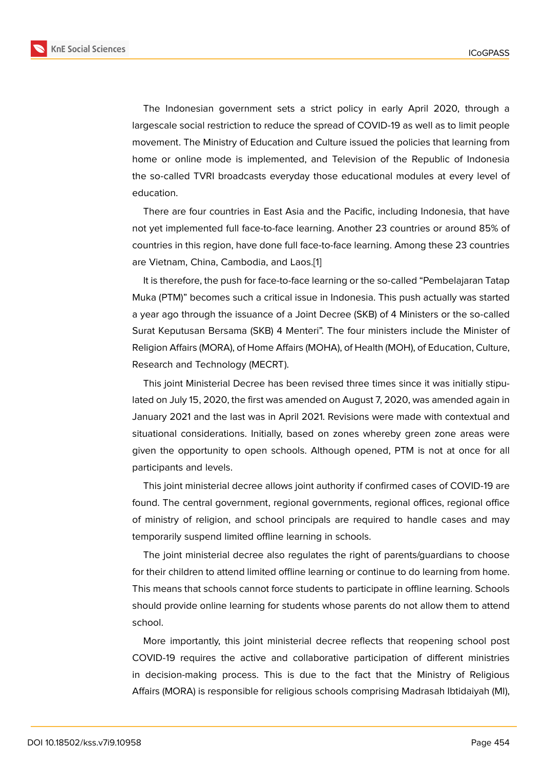The Indonesian government sets a strict policy in early April 2020, through a largescale social restriction to reduce the spread of COVID-19 as well as to limit people movement. The Ministry of Education and Culture issued the policies that learning from home or online mode is implemented, and Television of the Republic of Indonesia the so-called TVRI broadcasts everyday those educational modules at every level of education.

There are four countries in East Asia and the Pacific, including Indonesia, that have not yet implemented full face-to-face learning. Another 23 countries or around 85% of countries in this region, have done full face-to-face learning. Among these 23 countries are Vietnam, China, Cambodia, and Laos.[1]

It is therefore, the push for face-to-face learning or the so-called "Pembelajaran Tatap Muka (PTM)" becomes such a critical issue in Indonesia. This push actually was started a year ago through the issuance of a Join[t D](#page-10-0)ecree (SKB) of 4 Ministers or the so-called Surat Keputusan Bersama (SKB) 4 Menteri". The four ministers include the Minister of Religion Affairs (MORA), of Home Affairs (MOHA), of Health (MOH), of Education, Culture, Research and Technology (MECRT).

This joint Ministerial Decree has been revised three times since it was initially stipulated on July 15, 2020, the first was amended on August 7, 2020, was amended again in January 2021 and the last was in April 2021. Revisions were made with contextual and situational considerations. Initially, based on zones whereby green zone areas were given the opportunity to open schools. Although opened, PTM is not at once for all participants and levels.

This joint ministerial decree allows joint authority if confirmed cases of COVID-19 are found. The central government, regional governments, regional offices, regional office of ministry of religion, and school principals are required to handle cases and may temporarily suspend limited offline learning in schools.

The joint ministerial decree also regulates the right of parents/guardians to choose for their children to attend limited offline learning or continue to do learning from home. This means that schools cannot force students to participate in offline learning. Schools should provide online learning for students whose parents do not allow them to attend school.

More importantly, this joint ministerial decree reflects that reopening school post COVID-19 requires the active and collaborative participation of different ministries in decision-making process. This is due to the fact that the Ministry of Religious Affairs (MORA) is responsible for religious schools comprising Madrasah Ibtidaiyah (MI),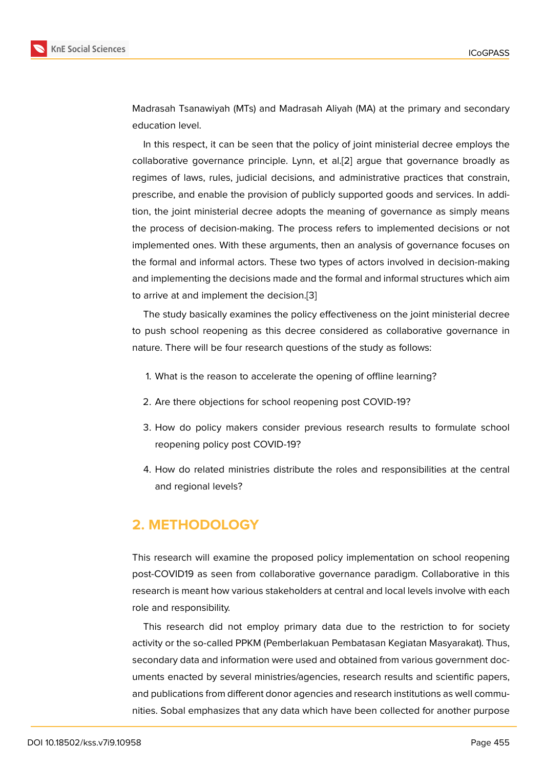Madrasah Tsanawiyah (MTs) and Madrasah Aliyah (MA) at the primary and secondary education level.

In this respect, it can be seen that the policy of joint ministerial decree employs the collaborative governance principle. Lynn, et al.[2] argue that governance broadly as regimes of laws, rules, judicial decisions, and administrative practices that constrain, prescribe, and enable the provision of publicly supported goods and services. In addition, the joint ministerial decree adopts the me[an](#page-10-1)ing of governance as simply means the process of decision-making. The process refers to implemented decisions or not implemented ones. With these arguments, then an analysis of governance focuses on the formal and informal actors. These two types of actors involved in decision-making and implementing the decisions made and the formal and informal structures which aim to arrive at and implement the decision.[3]

The study basically examines the policy effectiveness on the joint ministerial decree to push school reopening as this decree considered as collaborative governance in nature. There will be four research ques[tio](#page-10-2)ns of the study as follows:

- 1. What is the reason to accelerate the opening of offline learning?
- 2. Are there objections for school reopening post COVID-19?
- 3. How do policy makers consider previous research results to formulate school reopening policy post COVID-19?
- 4. How do related ministries distribute the roles and responsibilities at the central and regional levels?

### **2. METHODOLOGY**

This research will examine the proposed policy implementation on school reopening post-COVID19 as seen from collaborative governance paradigm. Collaborative in this research is meant how various stakeholders at central and local levels involve with each role and responsibility.

This research did not employ primary data due to the restriction to for society activity or the so-called PPKM (Pemberlakuan Pembatasan Kegiatan Masyarakat). Thus, secondary data and information were used and obtained from various government documents enacted by several ministries/agencies, research results and scientific papers, and publications from different donor agencies and research institutions as well communities. Sobal emphasizes that any data which have been collected for another purpose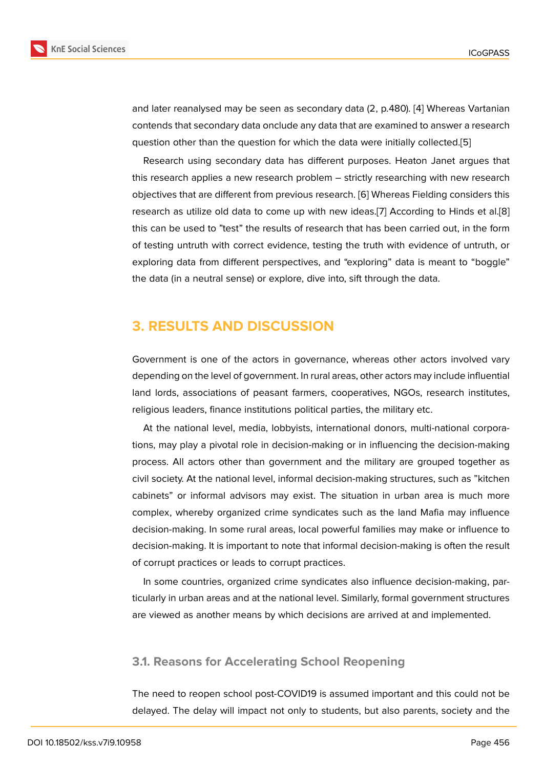and later reanalysed may be seen as secondary data (2, p.480). [4] Whereas Vartanian contends that secondary data onclude any data that are examined to answer a research question other than the question for which the data were initially collected.[5]

Research using secondary data has different purposes. Heat[on](#page-10-3) Janet argues that this research applies a new research problem – strictly researching with new research objectives that are different from previous research. [6] Whereas Fielding co[ns](#page-10-4)iders this research as utilize old data to come up with new ideas.[7] According to Hinds et al.[8] this can be used to "test" the results of research that has been carried out, in the form of testing untruth with correct evidence, testing the [t](#page-10-5)ruth with evidence of untruth, or exploring data from different perspectives, and "explori[ng](#page-10-6)" data is meant to "boggl[e"](#page-10-7) the data (in a neutral sense) or explore, dive into, sift through the data.

### **3. RESULTS AND DISCUSSION**

Government is one of the actors in governance, whereas other actors involved vary depending on the level of government. In rural areas, other actors may include influential land lords, associations of peasant farmers, cooperatives, NGOs, research institutes, religious leaders, finance institutions political parties, the military etc.

At the national level, media, lobbyists, international donors, multi-national corporations, may play a pivotal role in decision-making or in influencing the decision-making process. All actors other than government and the military are grouped together as civil society. At the national level, informal decision-making structures, such as "kitchen cabinets" or informal advisors may exist. The situation in urban area is much more complex, whereby organized crime syndicates such as the land Mafia may influence decision-making. In some rural areas, local powerful families may make or influence to decision-making. It is important to note that informal decision-making is often the result of corrupt practices or leads to corrupt practices.

In some countries, organized crime syndicates also influence decision-making, particularly in urban areas and at the national level. Similarly, formal government structures are viewed as another means by which decisions are arrived at and implemented.

### **3.1. Reasons for Accelerating School Reopening**

The need to reopen school post-COVID19 is assumed important and this could not be delayed. The delay will impact not only to students, but also parents, society and the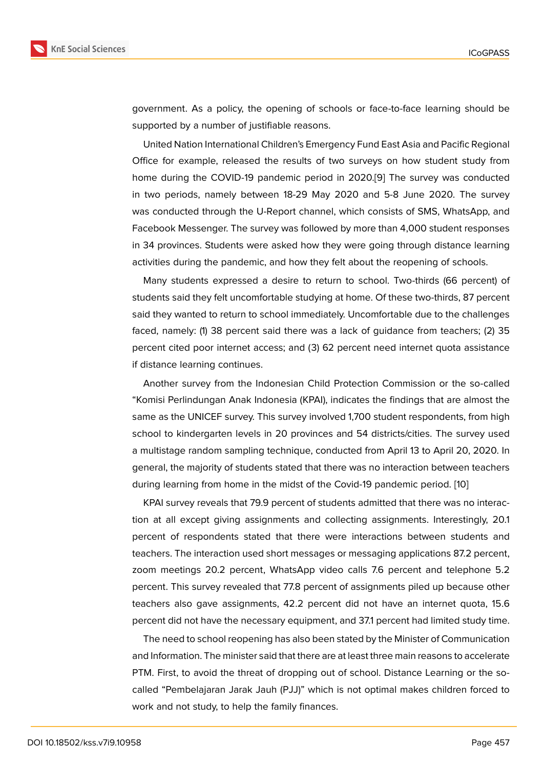government. As a policy, the opening of schools or face-to-face learning should be supported by a number of justifiable reasons.

United Nation International Children's Emergency Fund East Asia and Pacific Regional Office for example, released the results of two surveys on how student study from home during the COVID-19 pandemic period in 2020.[9] The survey was conducted in two periods, namely between 18-29 May 2020 and 5-8 June 2020. The survey was conducted through the U-Report channel, which consists of SMS, WhatsApp, and Facebook Messenger. The survey was followed by more [th](#page-10-8)an 4,000 student responses in 34 provinces. Students were asked how they were going through distance learning activities during the pandemic, and how they felt about the reopening of schools.

Many students expressed a desire to return to school. Two-thirds (66 percent) of students said they felt uncomfortable studying at home. Of these two-thirds, 87 percent said they wanted to return to school immediately. Uncomfortable due to the challenges faced, namely: (1) 38 percent said there was a lack of guidance from teachers; (2) 35 percent cited poor internet access; and (3) 62 percent need internet quota assistance if distance learning continues.

Another survey from the Indonesian Child Protection Commission or the so-called "Komisi Perlindungan Anak Indonesia (KPAI), indicates the findings that are almost the same as the UNICEF survey. This survey involved 1,700 student respondents, from high school to kindergarten levels in 20 provinces and 54 districts/cities. The survey used a multistage random sampling technique, conducted from April 13 to April 20, 2020. In general, the majority of students stated that there was no interaction between teachers during learning from home in the midst of the Covid-19 pandemic period. [10]

KPAI survey reveals that 79.9 percent of students admitted that there was no interaction at all except giving assignments and collecting assignments. Interestingly, 20.1 percent of respondents stated that there were interactions between s[tud](#page-10-9)ents and teachers. The interaction used short messages or messaging applications 87.2 percent, zoom meetings 20.2 percent, WhatsApp video calls 7.6 percent and telephone 5.2 percent. This survey revealed that 77.8 percent of assignments piled up because other teachers also gave assignments, 42.2 percent did not have an internet quota, 15.6 percent did not have the necessary equipment, and 37.1 percent had limited study time.

The need to school reopening has also been stated by the Minister of Communication and Information. The minister said that there are at least three main reasons to accelerate PTM. First, to avoid the threat of dropping out of school. Distance Learning or the socalled "Pembelajaran Jarak Jauh (PJJ)" which is not optimal makes children forced to work and not study, to help the family finances.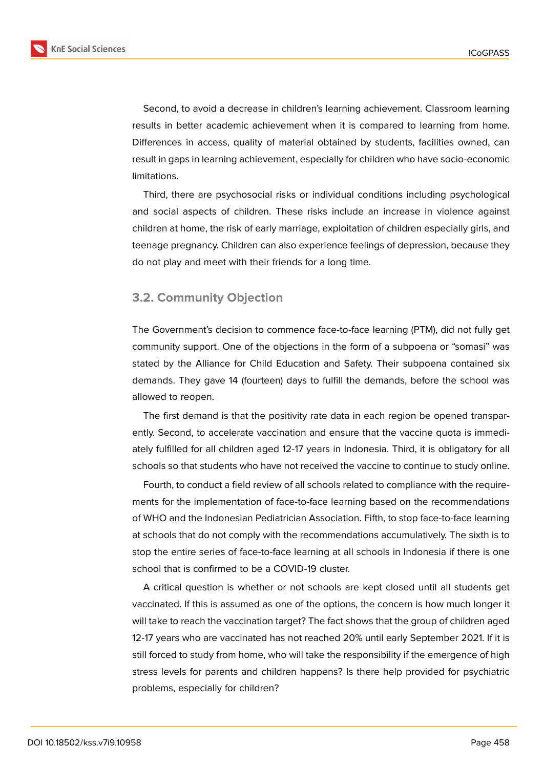

Second, to avoid a decrease in children's learning achievement. Classroom learning results in better academic achievement when it is compared to learning from home. Differences in access, quality of material obtained by students, facilities owned, can result in gaps in learning achievement, especially for children who have socio-economic limitations.

Third, there are psychosocial risks or individual conditions including psychological and social aspects of children. These risks include an increase in violence against children at home, the risk of early marriage, exploitation of children especially girls, and teenage pregnancy. Children can also experience feelings of depression, because they do not play and meet with their friends for a long time.

### **3.2. Community Objection**

The Government's decision to commence face-to-face learning (PTM), did not fully get community support. One of the objections in the form of a subpoena or "somasi" was stated by the Alliance for Child Education and Safety. Their subpoena contained six demands. They gave 14 (fourteen) days to fulfill the demands, before the school was allowed to reopen.

The first demand is that the positivity rate data in each region be opened transparently. Second, to accelerate vaccination and ensure that the vaccine quota is immediately fulfilled for all children aged 12-17 years in Indonesia. Third, it is obligatory for all schools so that students who have not received the vaccine to continue to study online.

Fourth, to conduct a field review of all schools related to compliance with the requirements for the implementation of face-to-face learning based on the recommendations of WHO and the Indonesian Pediatrician Association. Fifth, to stop face-to-face learning at schools that do not comply with the recommendations accumulatively. The sixth is to stop the entire series of face-to-face learning at all schools in Indonesia if there is one school that is confirmed to be a COVID-19 cluster.

A critical question is whether or not schools are kept closed until all students get vaccinated. If this is assumed as one of the options, the concern is how much longer it will take to reach the vaccination target? The fact shows that the group of children aged 12-17 years who are vaccinated has not reached 20% until early September 2021. If it is still forced to study from home, who will take the responsibility if the emergence of high stress levels for parents and children happens? Is there help provided for psychiatric problems, especially for children?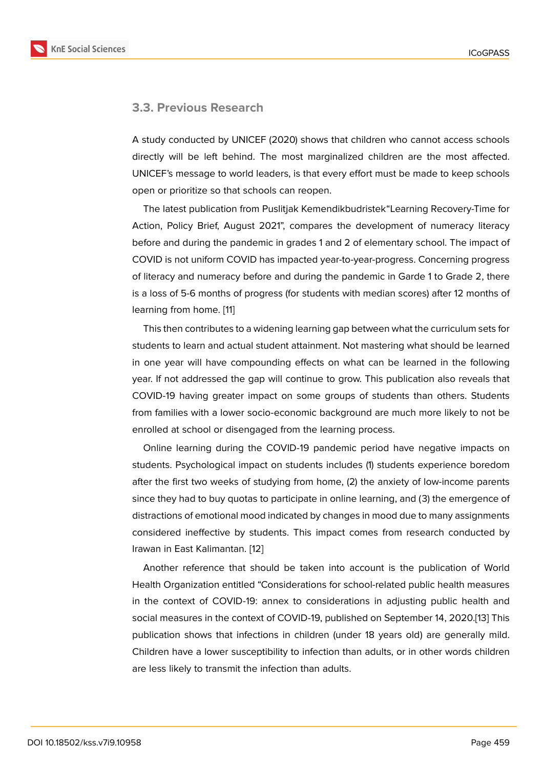#### **3.3. Previous Research**

A study conducted by UNICEF (2020) shows that children who cannot access schools directly will be left behind. The most marginalized children are the most affected. UNICEF's message to world leaders, is that every effort must be made to keep schools open or prioritize so that schools can reopen.

The latest publication from Puslitjak Kemendikbudristek"Learning Recovery-Time for Action, Policy Brief, August 2021", compares the development of numeracy literacy before and during the pandemic in grades 1 and 2 of elementary school. The impact of COVID is not uniform COVID has impacted year-to-year-progress. Concerning progress of literacy and numeracy before and during the pandemic in Garde 1 to Grade 2, there is a loss of 5-6 months of progress (for students with median scores) after 12 months of learning from home. [11]

This then contributes to a widening learning gap between what the curriculum sets for students to learn and actual student attainment. Not mastering what should be learned in one year will hav[e c](#page-10-10)ompounding effects on what can be learned in the following year. If not addressed the gap will continue to grow. This publication also reveals that COVID-19 having greater impact on some groups of students than others. Students from families with a lower socio-economic background are much more likely to not be enrolled at school or disengaged from the learning process.

Online learning during the COVID-19 pandemic period have negative impacts on students. Psychological impact on students includes (1) students experience boredom after the first two weeks of studying from home, (2) the anxiety of low-income parents since they had to buy quotas to participate in online learning, and (3) the emergence of distractions of emotional mood indicated by changes in mood due to many assignments considered ineffective by students. This impact comes from research conducted by Irawan in East Kalimantan. [12]

Another reference that should be taken into account is the publication of World Health Organization entitled "Considerations for school-related public health measures in the context of COVID-1[9:](#page-10-11) annex to considerations in adjusting public health and social measures in the context of COVID-19, published on September 14, 2020.[13] This publication shows that infections in children (under 18 years old) are generally mild. Children have a lower susceptibility to infection than adults, or in other words children are less likely to transmit the infection than adults.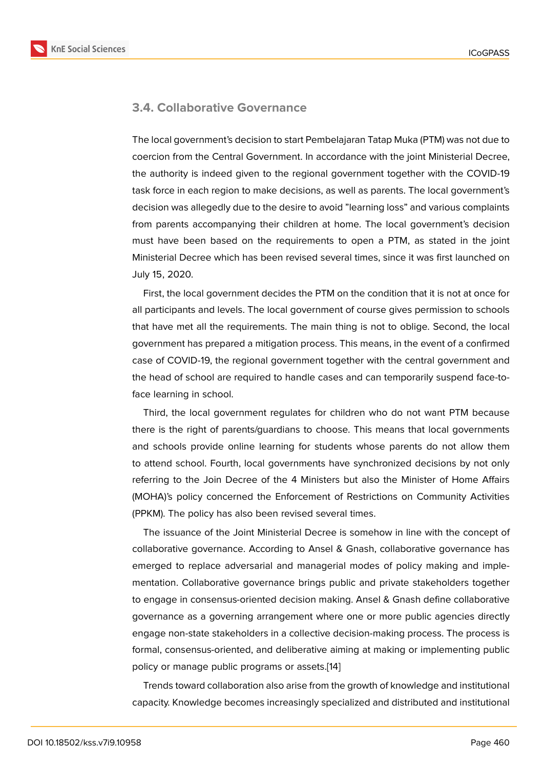#### **3.4. Collaborative Governance**

The local government's decision to start Pembelajaran Tatap Muka (PTM) was not due to coercion from the Central Government. In accordance with the joint Ministerial Decree, the authority is indeed given to the regional government together with the COVID-19 task force in each region to make decisions, as well as parents. The local government's decision was allegedly due to the desire to avoid "learning loss" and various complaints from parents accompanying their children at home. The local government's decision must have been based on the requirements to open a PTM, as stated in the joint Ministerial Decree which has been revised several times, since it was first launched on July 15, 2020.

First, the local government decides the PTM on the condition that it is not at once for all participants and levels. The local government of course gives permission to schools that have met all the requirements. The main thing is not to oblige. Second, the local government has prepared a mitigation process. This means, in the event of a confirmed case of COVID-19, the regional government together with the central government and the head of school are required to handle cases and can temporarily suspend face-toface learning in school.

Third, the local government regulates for children who do not want PTM because there is the right of parents/guardians to choose. This means that local governments and schools provide online learning for students whose parents do not allow them to attend school. Fourth, local governments have synchronized decisions by not only referring to the Join Decree of the 4 Ministers but also the Minister of Home Affairs (MOHA)'s policy concerned the Enforcement of Restrictions on Community Activities (PPKM). The policy has also been revised several times.

The issuance of the Joint Ministerial Decree is somehow in line with the concept of collaborative governance. According to Ansel & Gnash, collaborative governance has emerged to replace adversarial and managerial modes of policy making and implementation. Collaborative governance brings public and private stakeholders together to engage in consensus-oriented decision making. Ansel & Gnash define collaborative governance as a governing arrangement where one or more public agencies directly engage non-state stakeholders in a collective decision-making process. The process is formal, consensus-oriented, and deliberative aiming at making or implementing public policy or manage public programs or assets.[14]

Trends toward collaboration also arise from the growth of knowledge and institutional capacity. Knowledge becomes increasingly s[pec](#page-10-12)ialized and distributed and institutional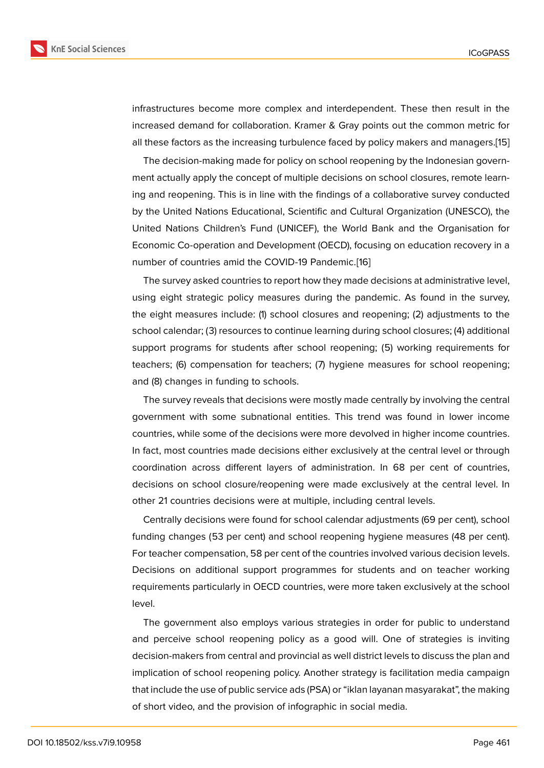infrastructures become more complex and interdependent. These then result in the increased demand for collaboration. Kramer & Gray points out the common metric for all these factors as the increasing turbulence faced by policy makers and managers.[15]

The decision-making made for policy on school reopening by the Indonesian government actually apply the concept of multiple decisions on school closures, remote learning and reopening. This is in line with the findings of a collaborative survey conduc[ted](#page-10-13) by the United Nations Educational, Scientific and Cultural Organization (UNESCO), the United Nations Children's Fund (UNICEF), the World Bank and the Organisation for Economic Co-operation and Development (OECD), focusing on education recovery in a number of countries amid the COVID-19 Pandemic.[16]

The survey asked countries to report how they made decisions at administrative level, using eight strategic policy measures during the pandemic. As found in the survey, the eight measures include: (1) school closures an[d re](#page-11-0)opening; (2) adjustments to the school calendar; (3) resources to continue learning during school closures; (4) additional support programs for students after school reopening; (5) working requirements for teachers; (6) compensation for teachers; (7) hygiene measures for school reopening; and (8) changes in funding to schools.

The survey reveals that decisions were mostly made centrally by involving the central government with some subnational entities. This trend was found in lower income countries, while some of the decisions were more devolved in higher income countries. In fact, most countries made decisions either exclusively at the central level or through coordination across different layers of administration. In 68 per cent of countries, decisions on school closure/reopening were made exclusively at the central level. In other 21 countries decisions were at multiple, including central levels.

Centrally decisions were found for school calendar adjustments (69 per cent), school funding changes (53 per cent) and school reopening hygiene measures (48 per cent). For teacher compensation, 58 per cent of the countries involved various decision levels. Decisions on additional support programmes for students and on teacher working requirements particularly in OECD countries, were more taken exclusively at the school level.

The government also employs various strategies in order for public to understand and perceive school reopening policy as a good will. One of strategies is inviting decision-makers from central and provincial as well district levels to discuss the plan and implication of school reopening policy. Another strategy is facilitation media campaign that include the use of public service ads (PSA) or "iklan layanan masyarakat", the making of short video, and the provision of infographic in social media.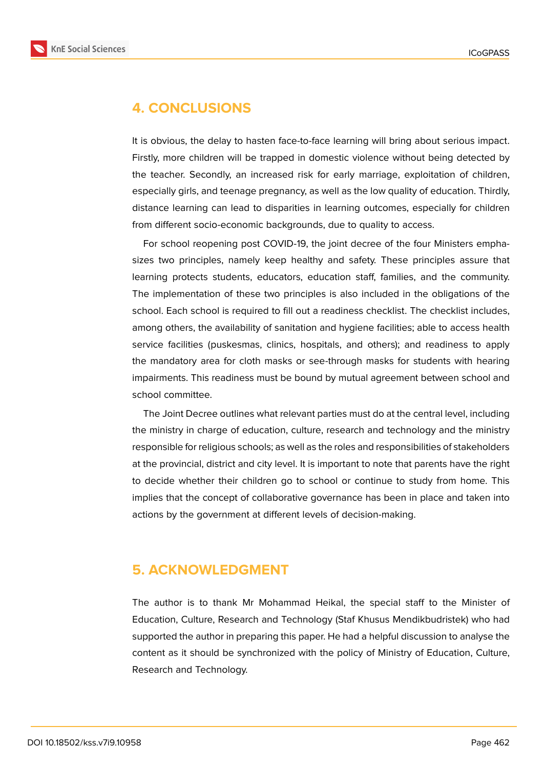

### **4. CONCLUSIONS**

It is obvious, the delay to hasten face-to-face learning will bring about serious impact. Firstly, more children will be trapped in domestic violence without being detected by the teacher. Secondly, an increased risk for early marriage, exploitation of children, especially girls, and teenage pregnancy, as well as the low quality of education. Thirdly, distance learning can lead to disparities in learning outcomes, especially for children from different socio-economic backgrounds, due to quality to access.

For school reopening post COVID-19, the joint decree of the four Ministers emphasizes two principles, namely keep healthy and safety. These principles assure that learning protects students, educators, education staff, families, and the community. The implementation of these two principles is also included in the obligations of the school. Each school is required to fill out a readiness checklist. The checklist includes, among others, the availability of sanitation and hygiene facilities; able to access health service facilities (puskesmas, clinics, hospitals, and others); and readiness to apply the mandatory area for cloth masks or see-through masks for students with hearing impairments. This readiness must be bound by mutual agreement between school and school committee.

The Joint Decree outlines what relevant parties must do at the central level, including the ministry in charge of education, culture, research and technology and the ministry responsible for religious schools; as well as the roles and responsibilities of stakeholders at the provincial, district and city level. It is important to note that parents have the right to decide whether their children go to school or continue to study from home. This implies that the concept of collaborative governance has been in place and taken into actions by the government at different levels of decision-making.

## **5. ACKNOWLEDGMENT**

The author is to thank Mr Mohammad Heikal, the special staff to the Minister of Education, Culture, Research and Technology (Staf Khusus Mendikbudristek) who had supported the author in preparing this paper. He had a helpful discussion to analyse the content as it should be synchronized with the policy of Ministry of Education, Culture, Research and Technology.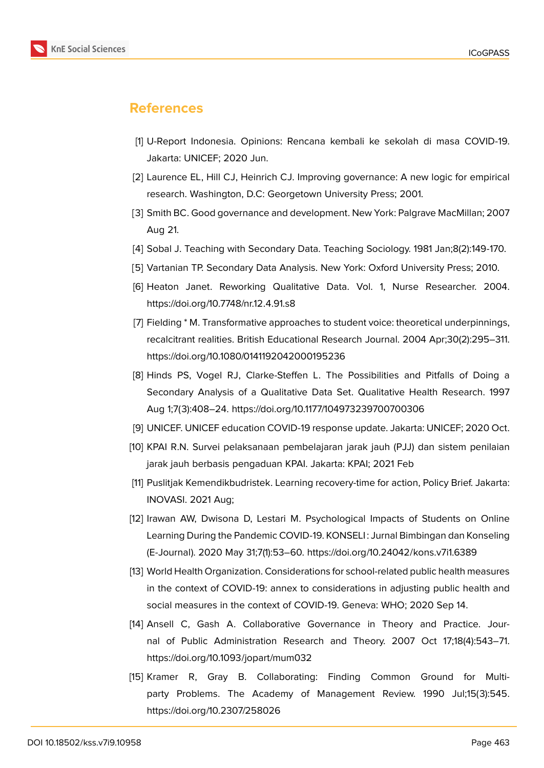

### **References**

- <span id="page-10-0"></span>[1] U-Report Indonesia. Opinions: Rencana kembali ke sekolah di masa COVID-19. Jakarta: UNICEF; 2020 Jun.
- <span id="page-10-1"></span>[2] Laurence EL, Hill CJ, Heinrich CJ. Improving governance: A new logic for empirical research. Washington, D.C: Georgetown University Press; 2001.
- <span id="page-10-2"></span>[3] Smith BC. Good governance and development. New York: Palgrave MacMillan; 2007 Aug 21.
- <span id="page-10-3"></span>[4] Sobal J. Teaching with Secondary Data. Teaching Sociology. 1981 Jan;8(2):149-170.
- <span id="page-10-4"></span>[5] Vartanian TP. Secondary Data Analysis. New York: Oxford University Press; 2010.
- <span id="page-10-5"></span>[6] Heaton Janet. Reworking Qualitative Data. Vol. 1, Nurse Researcher. 2004. https://doi.org/10.7748/nr.12.4.91.s8
- <span id="page-10-6"></span>[7] Fielding \* M. Transformative approaches to student voice: theoretical underpinnings, recalcitrant realities. British Educational Research Journal. 2004 Apr;30(2):295–311. https://doi.org/10.1080/0141192042000195236
- <span id="page-10-7"></span>[8] Hinds PS, Vogel RJ, Clarke-Steffen L. The Possibilities and Pitfalls of Doing a Secondary Analysis of a Qualitative Data Set. Qualitative Health Research. 1997 Aug 1;7(3):408–24. https://doi.org/10.1177/104973239700700306
- <span id="page-10-8"></span>[9] UNICEF. UNICEF education COVID-19 response update. Jakarta: UNICEF; 2020 Oct.
- <span id="page-10-9"></span>[10] KPAI R.N. Survei pelaksanaan pembelajaran jarak jauh (PJJ) dan sistem penilaian jarak jauh berbasis pengaduan KPAI. Jakarta: KPAI; 2021 Feb
- <span id="page-10-10"></span>[11] Puslitjak Kemendikbudristek. Learning recovery-time for action, Policy Brief. Jakarta: INOVASI. 2021 Aug;
- <span id="page-10-11"></span>[12] Irawan AW, Dwisona D, Lestari M. Psychological Impacts of Students on Online Learning During the Pandemic COVID-19. KONSELI : Jurnal Bimbingan dan Konseling (E-Journal). 2020 May 31;7(1):53–60. https://doi.org/10.24042/kons.v7i1.6389
- [13] World Health Organization. Considerations for school-related public health measures in the context of COVID-19: annex to considerations in adjusting public health and social measures in the context of COVID-19. Geneva: WHO; 2020 Sep 14.
- <span id="page-10-12"></span>[14] Ansell C, Gash A. Collaborative Governance in Theory and Practice. Journal of Public Administration Research and Theory. 2007 Oct 17;18(4):543–71. https://doi.org/10.1093/jopart/mum032
- <span id="page-10-13"></span>[15] Kramer R, Gray B. Collaborating: Finding Common Ground for Multiparty Problems. The Academy of Management Review. 1990 Jul;15(3):545. https://doi.org/10.2307/258026